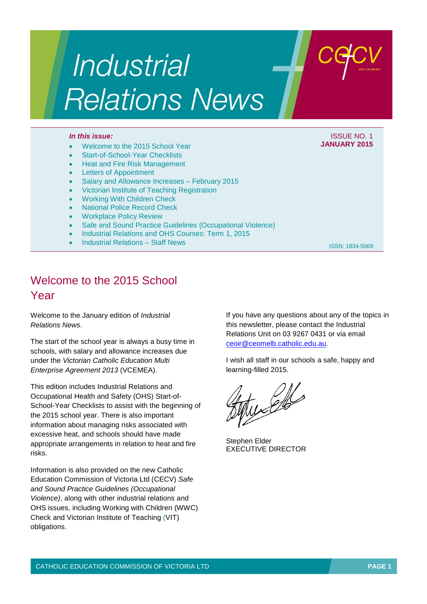# Industrial **Relations News**

#### *In this issue:* ISSUE NO. 1

- Welcome to the 2015 School Year
- Start-of-School-Year Checklists
- Heat and Fire Risk Management
- Letters of Appointment
- Salary and Allowance Increases February 2015
- Victorian Institute of Teaching Registration
- Working With Children Check
- National Police Record Check
- Workplace Policy Review
- Safe and Sound Practice Guidelines (Occupational Violence)
- Industrial Relations and OHS Courses: Term 1, 2015
- Industrial Relations Staff News

ISSN: 1834-5069

**JANUARY 2015**

## Welcome to the 2015 School Year

Welcome to the January edition of *Industrial Relations News*.

The start of the school year is always a busy time in schools, with salary and allowance increases due under the *Victorian Catholic Education Multi Enterprise Agreement 2013* (VCEMEA).

This edition includes Industrial Relations and Occupational Health and Safety (OHS) Start-of-School-Year Checklists to assist with the beginning of the 2015 school year. There is also important information about managing risks associated with excessive heat, and schools should have made appropriate arrangements in relation to heat and fire risks.

Information is also provided on the new Catholic Education Commission of Victoria Ltd (CECV) *Safe and Sound Practice Guidelines (Occupational Violence)*, along with other industrial relations and OHS issues, including Working with Children (WWC) Check and Victorian Institute of Teaching (VIT) obligations.

If you have any questions about any of the topics in this newsletter, please contact the Industrial Relations Unit on 03 9267 0431 or via email [ceoir@ceomelb.catholic.edu.au.](mailto:ceoir@ceomelb.catholic.edu.au)

I wish all staff in our schools a safe, happy and learning-filled 2015.

wetter

Stephen Elder EXECUTIVE DIRECTOR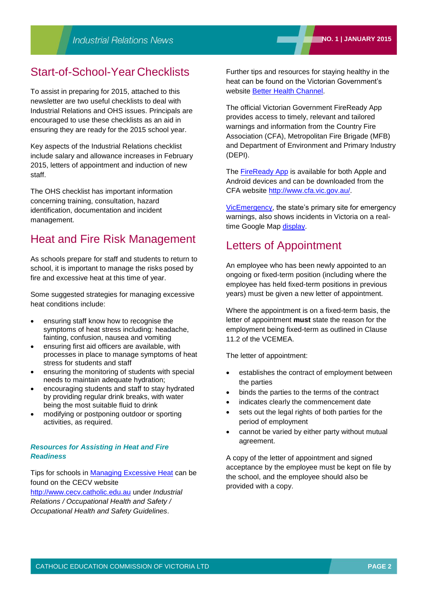## Start-of-School-Year Checklists

To assist in preparing for 2015, attached to this newsletter are two useful checklists to deal with Industrial Relations and OHS issues. Principals are encouraged to use these checklists as an aid in ensuring they are ready for the 2015 school year.

Key aspects of the Industrial Relations checklist include salary and allowance increases in February 2015, letters of appointment and induction of new staff.

The OHS checklist has important information concerning training, consultation, hazard identification, documentation and incident management.

## Heat and Fire Risk Management

As schools prepare for staff and students to return to school, it is important to manage the risks posed by fire and excessive heat at this time of year.

Some suggested strategies for managing excessive heat conditions include:

- ensuring staff know how to recognise the symptoms of heat stress including: headache, fainting, confusion, nausea and vomiting
- ensuring first aid officers are available, with processes in place to manage symptoms of heat stress for students and staff
- ensuring the monitoring of students with special needs to maintain adequate hydration;
- encouraging students and staff to stay hydrated by providing regular drink breaks, with water being the most suitable fluid to drink
- modifying or postponing outdoor or sporting activities, as required.

### *Resources for Assisting in Heat and Fire Readiness*

Tips for schools in [Managing Excessive Heat](http://www.cecv.catholic.edu.au/vcsa/ohands/guidelines/Managing_Days_of_Excessive_Heat.pdf) can be found on the CECV website [http://www.cecv.catholic.edu.au](http://www.cecv.catholic.edu.au/) under *Industrial Relations / Occupational Health and Safety / Occupational Health and Safety Guidelines*.

Further tips and resources for staying healthy in the heat can be found on the Victorian Government's website [Better Health Channel.](http://www.betterhealth.vic.gov.au/bhcv2/bhcarticles.nsf/pages/Heat_health?open)

The official Victorian Government FireReady App provides access to timely, relevant and tailored warnings and information from the Country Fire Association (CFA), Metropolitan Fire Brigade (MFB) and Department of Environment and Primary Industry (DEPI).

The [FireReady App](http://www.cfa.vic.gov.au/plan-prepare/fireready-app/) is available for both Apple and Android devices and can be downloaded from the CFA website [http://www.cfa.vic.gov.au/.](http://www.cfa.vic.gov.au/)

[VicEmergency,](http://www.emergency.vic.gov.au/map) the state's primary site for emergency warnings, also shows incidents in Victoria on a realtime Google Map [display.](http://www.emergency.vic.gov.au/map#now)

## Letters of Appointment

An employee who has been newly appointed to an ongoing or fixed-term position (including where the employee has held fixed-term positions in previous years) must be given a new letter of appointment.

Where the appointment is on a fixed-term basis, the letter of appointment **must** state the reason for the employment being fixed-term as outlined in Clause 11.2 of the VCEMEA.

The letter of appointment:

- establishes the contract of employment between the parties
- binds the parties to the terms of the contract
- indicates clearly the commencement date
- sets out the legal rights of both parties for the period of employment
- cannot be varied by either party without mutual agreement.

A copy of the letter of appointment and signed acceptance by the employee must be kept on file by the school, and the employee should also be provided with a copy.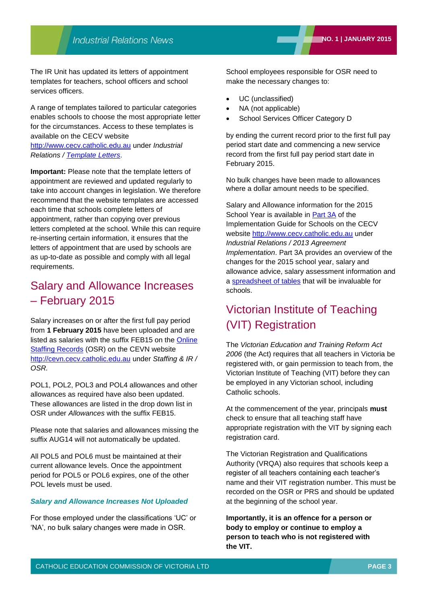The IR Unit has updated its letters of appointment templates for teachers, school officers and school services officers.

A range of templates tailored to particular categories enables schools to choose the most appropriate letter for the circumstances. Access to these templates is available on the CECV website

[http://www.cecv.catholic.edu.au](http://www.cecv.catholic.edu.au/) under *Industrial Relations / [Template Letters](http://www.cecv.catholic.edu.au/vcsa/lettersofappointment/appoint.htm)*.

**Important:** Please note that the template letters of appointment are reviewed and updated regularly to take into account changes in legislation. We therefore recommend that the website templates are accessed each time that schools complete letters of appointment, rather than copying over previous letters completed at the school. While this can require re-inserting certain information, it ensures that the letters of appointment that are used by schools are as up-to-date as possible and comply with all legal requirements.

## Salary and Allowance Increases – February 2015

Salary increases on or after the first full pay period from **1 February 2015** have been uploaded and are listed as salaries with the suffix FEB15 on the [Online](http://cevn.cecv.catholic.edu.au/staffingir/osr.htm)  [Staffing Records](http://cevn.cecv.catholic.edu.au/staffingir/osr.htm) (OSR) on the CEVN website [http://cevn.cecv.catholic.edu.au](http://cevn.cecv.catholic.edu.au/) under *Staffing & IR / OSR.*

POL1, POL2, POL3 and POL4 allowances and other allowances as required have also been updated. These allowances are listed in the drop down list in OSR under *Allowances* with the suffix FEB15.

Please note that salaries and allowances missing the suffix AUG14 will not automatically be updated.

All POL5 and POL6 must be maintained at their current allowance levels. Once the appointment period for POL5 or POL6 expires, one of the other POL levels must be used.

#### *Salary and Allowance Increases Not Uploaded*

For those employed under the classifications 'UC' or 'NA', no bulk salary changes were made in OSR.

School employees responsible for OSR need to make the necessary changes to:

- UC (unclassified)
- NA (not applicable)
- School Services Officer Category D

by ending the current record prior to the first full pay period start date and commencing a new service record from the first full pay period start date in February 2015.

No bulk changes have been made to allowances where a dollar amount needs to be specified.

Salary and Allowance information for the 2015 School Year is available in [Part 3A](http://www.cecv.catholic.edu.au/vcsa/Implementation_Guidelines/Part%203A.pdf) of the Implementation Guide for Schools on the CECV website [http://www.cecv.catholic.edu.au](http://www.cecv.catholic.edu.au/) under *Industrial Relations / 2013 Agreement Implementation*. Part 3A provides an overview of the changes for the 2015 school year, salary and allowance advice, salary assessment information and a [spreadsheet of tables](http://www.cecv.catholic.edu.au/vcsa/Implementation_Guidelines/2014_Implementation_tables.xls) that will be invaluable for schools.

## Victorian Institute of Teaching (VIT) Registration

The *Victorian Education and Training Reform Act 2006* (the Act) requires that all teachers in Victoria be registered with, or gain permission to teach from, the Victorian Institute of Teaching (VIT) before they can be employed in any Victorian school, including Catholic schools.

At the commencement of the year, principals **must** check to ensure that all teaching staff have appropriate registration with the VIT by signing each registration card.

The Victorian Registration and Qualifications Authority (VRQA) also requires that schools keep a register of all teachers containing each teacher's name and their VIT registration number. This must be recorded on the OSR or PRS and should be updated at the beginning of the school year.

**Importantly, it is an offence for a person or body to employ or continue to employ a person to teach who is not registered with the VIT.**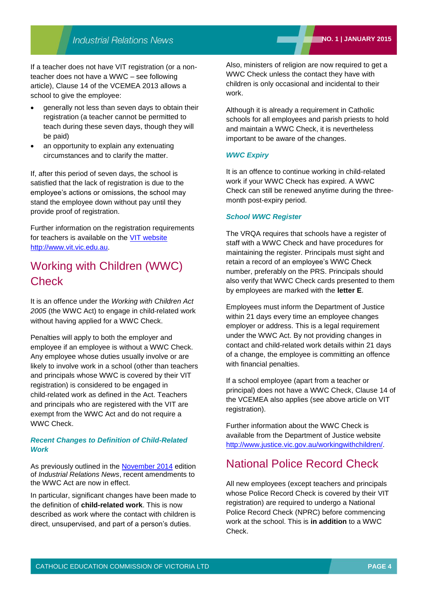If a teacher does not have VIT registration (or a nonteacher does not have a WWC – see following article), Clause 14 of the VCEMEA 2013 allows a school to give the employee:

- generally not less than seven days to obtain their registration (a teacher cannot be permitted to teach during these seven days, though they will be paid)
- an opportunity to explain any extenuating circumstances and to clarify the matter.

If, after this period of seven days, the school is satisfied that the lack of registration is due to the employee's actions or omissions, the school may stand the employee down without pay until they provide proof of registration.

Further information on the registration requirements for teachers is available on the [VIT website](http://www.vit.vic.edu.au/Pages/default.aspx) [http://www.vit.vic.edu.au.](http://www.vit.vic.edu.au/)

## Working with Children (WWC) **Check**

It is an offence under the *Working with Children Act 2005* (the WWC Act) to engage in child‐related work without having applied for a WWC Check.

Penalties will apply to both the employer and employee if an employee is without a WWC Check. Any employee whose duties usually involve or are likely to involve work in a school (other than teachers and principals whose WWC is covered by their VIT registration) is considered to be engaged in child‐related work as defined in the Act. Teachers and principals who are registered with the VIT are exempt from the WWC Act and do not require a WWC Check.

### *Recent Changes to Definition of Child-Related Work*

As previously outlined in the [November 2014](http://www.cecv.catholic.edu.au/vcsa/newsletters/IR%20News,%20No.%208,%20Nov%202014.pdf) edition of *Industrial Relations News*, recent amendments to the WWC Act are now in effect.

In particular, significant changes have been made to the definition of **child-related work**. This is now described as work where the contact with children is direct, unsupervised, and part of a person's duties.

Also, ministers of religion are now required to get a WWC Check unless the contact they have with children is only occasional and incidental to their work.

Although it is already a requirement in Catholic schools for all employees and parish priests to hold and maintain a WWC Check, it is nevertheless important to be aware of the changes.

#### *WWC Expiry*

It is an offence to continue working in child-related work if your WWC Check has expired. A WWC Check can still be renewed anytime during the threemonth post-expiry period.

#### *School WWC Register*

The VRQA requires that schools have a register of staff with a WWC Check and have procedures for maintaining the register. Principals must sight and retain a record of an employee's WWC Check number, preferably on the PRS. Principals should also verify that WWC Check cards presented to them by employees are marked with the **letter E**.

Employees must inform the Department of Justice within 21 days every time an employee changes employer or address. This is a legal requirement under the WWC Act. By not providing changes in contact and child-related work details within 21 days of a change, the employee is committing an offence with financial penalties.

If a school employee (apart from a teacher or principal) does not have a WWC Check, Clause 14 of the VCEMEA also applies (see above article on VIT registration).

Further information about the WWC Check is available from the Department of Justice website [http://www.justice.vic.gov.au/workingwithchildren/.](http://www.justice.vic.gov.au/workingwithchildren/)

## National Police Record Check

All new employees (except teachers and principals whose Police Record Check is covered by their VIT registration) are required to undergo a National Police Record Check (NPRC) before commencing work at the school. This is **in addition** to a WWC Check.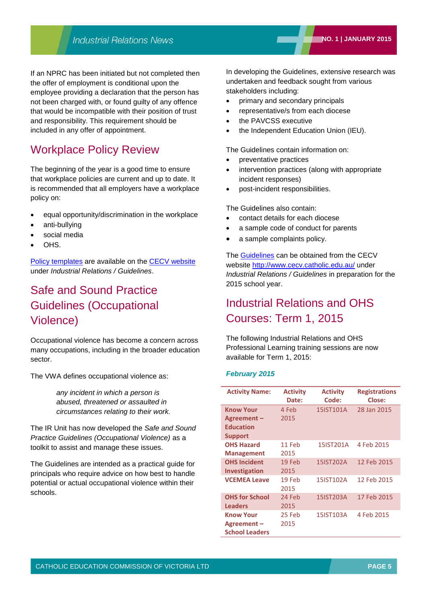If an NPRC has been initiated but not completed then the offer of employment is conditional upon the employee providing a declaration that the person has not been charged with, or found guilty of any offence that would be incompatible with their position of trust and responsibility. This requirement should be included in any offer of appointment.

## Workplace Policy Review

The beginning of the year is a good time to ensure that workplace policies are current and up to date. It is recommended that all employers have a workplace policy on:

- equal opportunity/discrimination in the workplace
- anti-bullying
- social media
- OHS.

[Policy templates](http://web.cecv.catholic.edu.au/vcsa/guidelines/guideindex.htm) are available on the [CECV website](http://www.cecv.catholic.edu.au/) under *Industrial Relations / Guidelines*.

## Safe and Sound Practice Guidelines (Occupational Violence)

Occupational violence has become a concern across many occupations, including in the broader education sector.

The VWA defines occupational violence as:

*any incident in which a person is abused, threatened or assaulted in circumstances relating to their work.* 

The IR Unit has now developed the *Safe and Sound Practice Guidelines (Occupational Violence)* as a toolkit to assist and manage these issues.

The Guidelines are intended as a practical guide for principals who require advice on how best to handle potential or actual occupational violence within their schools.

In developing the Guidelines, extensive research was undertaken and feedback sought from various stakeholders including:

- primary and secondary principals
- representative/s from each diocese
- the PAVCSS executive
- the Independent Education Union (IEU).

The Guidelines contain information on:

- preventative practices
- intervention practices (along with appropriate incident responses)
- post-incident responsibilities.

The Guidelines also contain:

- contact details for each diocese
- a sample code of conduct for parents
- a sample complaints policy.

The [Guidelines](http://www.cecv.catholic.edu.au/vcsa/guidelines/guideindex.htm) can be obtained from the CECV website <http://www.cecv.catholic.edu.au/> under *Industrial Relations / Guidelines* in preparation for the 2015 school year.

## Industrial Relations and OHS Courses: Term 1, 2015

The following Industrial Relations and OHS Professional Learning training sessions are now available for Term 1, 2015:

#### *February 2015*

| <b>Activity Name:</b> | <b>Activity</b> | <b>Activity</b> | <b>Registrations</b> |
|-----------------------|-----------------|-----------------|----------------------|
|                       | Date:           | Code:           | Close:               |
| <b>Know Your</b>      | 4 Feb           | 15IST101A       | 28 Jan 2015          |
| Agreement-            | 2015            |                 |                      |
| <b>Education</b>      |                 |                 |                      |
| <b>Support</b>        |                 |                 |                      |
| <b>OHS Hazard</b>     | 11 Feb          | 15IST201A       | 4 Feb 2015           |
| <b>Management</b>     | 2015            |                 |                      |
| <b>OHS Incident</b>   | 19 Feb          | 15IST202A       | 12 Feb 2015          |
| Investigation         | 2015            |                 |                      |
| <b>VCEMEA Leave</b>   | 19 Feb          | 15IST102A       | 12 Feb 2015          |
|                       | 2015            |                 |                      |
| <b>OHS for School</b> | 24 Feb          | 15IST203A       | 17 Feb 2015          |
| <b>Leaders</b>        | 2015            |                 |                      |
| <b>Know Your</b>      | 25 Feb          | 15IST103A       | 4 Feb 2015           |
| Agreement-            | 2015            |                 |                      |
| <b>School Leaders</b> |                 |                 |                      |